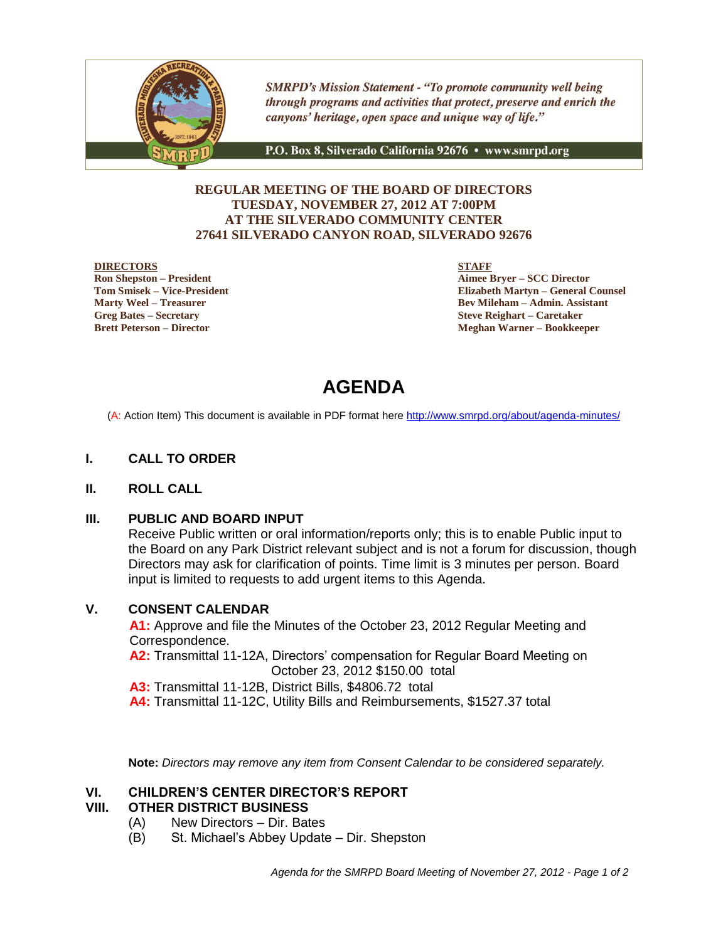

**SMRPD's Mission Statement - "To promote community well being** through programs and activities that protect, preserve and enrich the canyons' heritage, open space and unique way of life."

P.O. Box 8, Silverado California 92676 · www.smrpd.org

### **REGULAR MEETING OF THE BOARD OF DIRECTORS TUESDAY, NOVEMBER 27, 2012 AT 7:00PM AT THE SILVERADO COMMUNITY CENTER 27641 SILVERADO CANYON ROAD, SILVERADO 92676**

### **DIRECTORS**

**Ron Shepston – President Tom Smisek – Vice-President Marty Weel – Treasurer Greg Bates – Secretary Brett Peterson – Director**

**STAFF**

**Aimee Bryer – SCC Director Elizabeth Martyn – General Counsel Bev Mileham – Admin. Assistant Steve Reighart – Caretaker Meghan Warner – Bookkeeper**

# **AGENDA**

(A: Action Item) This document is available in PDF format here <http://www.smrpd.org/>about/agenda-minutes/

### **I. CALL TO ORDER**

### **II. ROLL CALL**

### **III. PUBLIC AND BOARD INPUT**

Receive Public written or oral information/reports only; this is to enable Public input to the Board on any Park District relevant subject and is not a forum for discussion, though Directors may ask for clarification of points. Time limit is 3 minutes per person. Board input is limited to requests to add urgent items to this Agenda.

### **V. CONSENT CALENDAR**

**A1:** Approve and file the Minutes of the October 23, 2012 Regular Meeting and Correspondence.

**A2:** Transmittal 11-12A, Directors' compensation for Regular Board Meeting on October 23, 2012 \$150.00 total

**A3:** Transmittal 11-12B, District Bills, \$4806.72 total

**A4:** Transmittal 11-12C, Utility Bills and Reimbursements, \$1527.37 total

**Note:** *Directors may remove any item from Consent Calendar to be considered separately.*

### **VI. CHILDREN'S CENTER DIRECTOR'S REPORT**

### **VIII. OTHER DISTRICT BUSINESS**

- (A) New Directors Dir. Bates
- (B) St. Michael's Abbey Update Dir. Shepston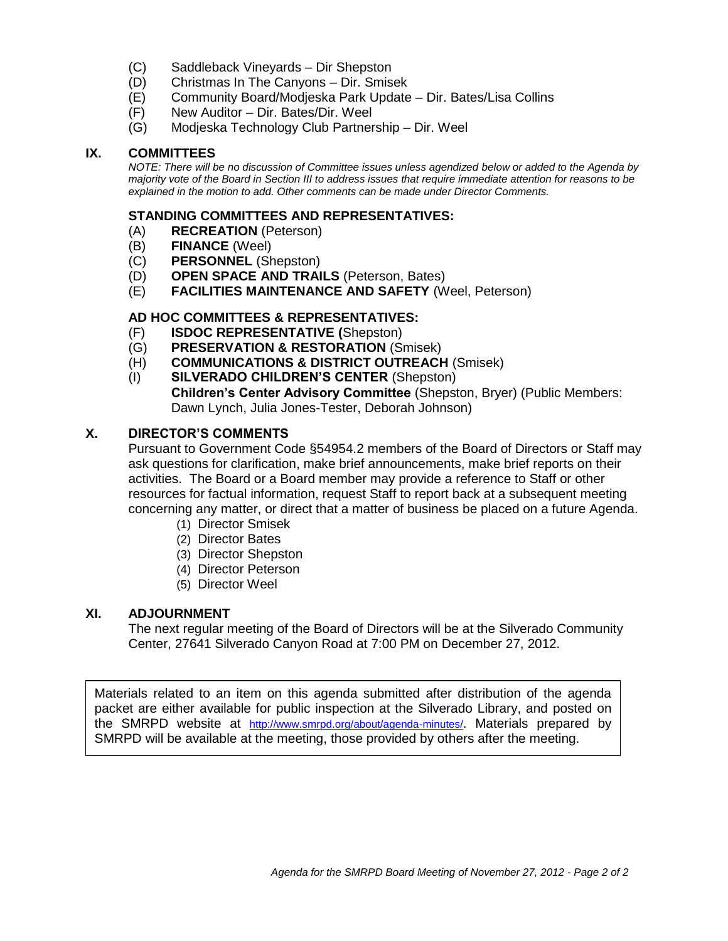- (C) Saddleback Vineyards Dir Shepston
- (D) Christmas In The Canyons Dir. Smisek
- (E) Community Board/Modjeska Park Update Dir. Bates/Lisa Collins
- (F) New Auditor Dir. Bates/Dir. Weel
- (G) Modjeska Technology Club Partnership Dir. Weel

### **IX. COMMITTEES**

*NOTE: There will be no discussion of Committee issues unless agendized below or added to the Agenda by majority vote of the Board in Section III to address issues that require immediate attention for reasons to be explained in the motion to add. Other comments can be made under Director Comments.*

### **STANDING COMMITTEES AND REPRESENTATIVES:**

- (A) **RECREATION** (Peterson)
- (B) **FINANCE** (Weel)
- (C) **PERSONNEL** (Shepston)
- (D) **OPEN SPACE AND TRAILS** (Peterson, Bates)
- (E) **FACILITIES MAINTENANCE AND SAFETY** (Weel, Peterson)

### **AD HOC COMMITTEES & REPRESENTATIVES:**

- (F) **ISDOC REPRESENTATIVE (**Shepston)
- (G) **PRESERVATION & RESTORATION** (Smisek)
- (H) **COMMUNICATIONS & DISTRICT OUTREACH** (Smisek)
- (I) **SILVERADO CHILDREN'S CENTER** (Shepston) **Children's Center Advisory Committee** (Shepston, Bryer) (Public Members: Dawn Lynch, Julia Jones-Tester, Deborah Johnson)

### **X. DIRECTOR'S COMMENTS**

Pursuant to Government Code §54954.2 members of the Board of Directors or Staff may ask questions for clarification, make brief announcements, make brief reports on their activities. The Board or a Board member may provide a reference to Staff or other resources for factual information, request Staff to report back at a subsequent meeting concerning any matter, or direct that a matter of business be placed on a future Agenda.

- (1) Director Smisek
- (2) Director Bates
- (3) Director Shepston
- (4) Director Peterson
- (5) Director Weel

### **XI. ADJOURNMENT**

The next regular meeting of the Board of Directors will be at the Silverado Community Center, 27641 Silverado Canyon Road at 7:00 PM on December 27, 2012.

Materials related to an item on this agenda submitted after distribution of the agenda packet are either available for public inspection at the Silverado Library, and posted on the SMRPD website at <http://www.smrpd.org/>about/agenda-minutes/. Materials prepared by SMRPD will be available at the meeting, those provided by others after the meeting.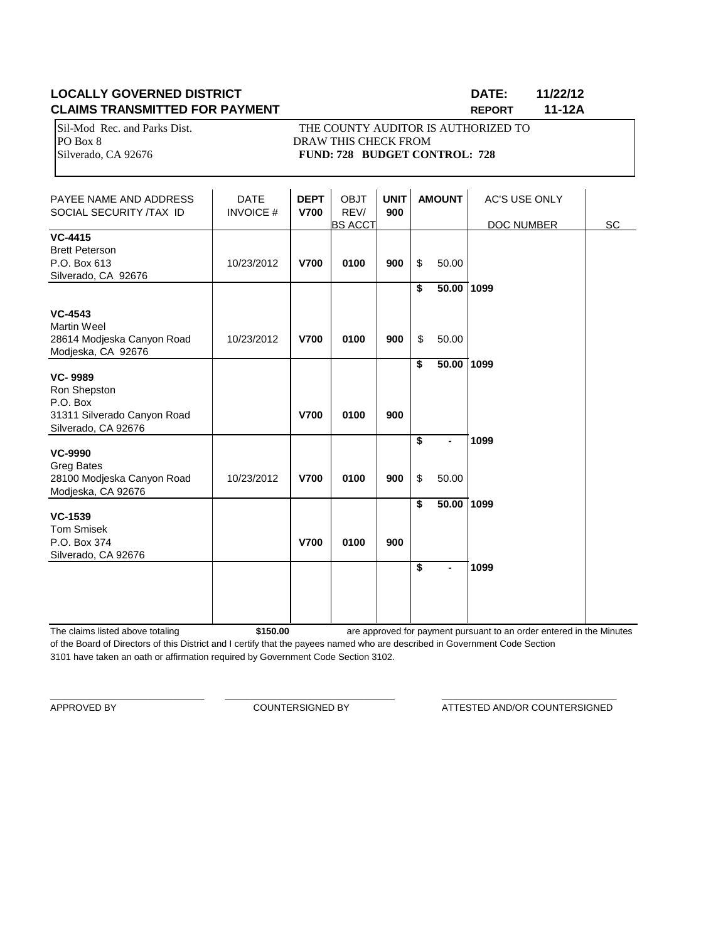### **LOCALLY GOVERNED DISTRICT DATE: 11/22/12 CLAIMS TRANSMITTED FOR PAYMENT REPORT 11-12A**

Sil-Mod Rec. and Parks Dist. THE COUNTY AUDITOR IS AUTHORIZED TO PO Box 8 DRAW THIS CHECK FROM Silverado, CA 92676 **FUND: 728 BUDGET CONTROL: 728** 

| PAYEE NAME AND ADDRESS<br>SOCIAL SECURITY /TAX ID                                                | <b>DATE</b><br><b>INVOICE#</b> | <b>DEPT</b><br><b>V700</b> | <b>OBJT</b><br>REV/<br><b>BS ACCT</b> | <b>UNIT</b><br>900 |          | <b>AMOUNT</b>  | <b>AC'S USE ONLY</b><br>DOC NUMBER | <b>SC</b> |
|--------------------------------------------------------------------------------------------------|--------------------------------|----------------------------|---------------------------------------|--------------------|----------|----------------|------------------------------------|-----------|
| <b>VC-4415</b><br><b>Brett Peterson</b><br>P.O. Box 613<br>Silverado, CA 92676                   | 10/23/2012                     | <b>V700</b>                | 0100                                  | 900                | \$       | 50.00          |                                    |           |
| <b>VC-4543</b><br><b>Martin Weel</b><br>28614 Modjeska Canyon Road<br>Modjeska, CA 92676         | 10/23/2012                     | <b>V700</b>                | 0100                                  | 900                | \$<br>\$ | 50.00<br>50.00 | 1099                               |           |
| <b>VC-9989</b><br>Ron Shepston<br>P.O. Box<br>31311 Silverado Canyon Road<br>Silverado, CA 92676 |                                | <b>V700</b>                | 0100                                  | 900                | \$       | 50.00          | 1099                               |           |
| <b>VC-9990</b><br><b>Greg Bates</b><br>28100 Modjeska Canyon Road<br>Modjeska, CA 92676          | 10/23/2012                     | <b>V700</b>                | 0100                                  | 900                | \$<br>\$ | ۰<br>50.00     | 1099                               |           |
| <b>VC-1539</b><br><b>Tom Smisek</b><br>P.O. Box 374<br>Silverado, CA 92676                       |                                | <b>V700</b>                | 0100                                  | 900                | \$       | 50.00          | 1099                               |           |
|                                                                                                  |                                |                            |                                       |                    | \$       | ٠              | 1099                               |           |

The claims listed above totaling **\$150.00** of the Board of Directors of this District and I certify that the payees named who are described in Government Code Section 3101 have taken an oath or affirmation required by Government Code Section 3102. are approved for payment pursuant to an order entered in the Minutes

\_\_\_\_\_\_\_\_\_\_\_\_\_\_\_\_\_\_\_\_\_\_\_\_\_\_\_\_\_\_ \_\_\_\_\_\_\_\_\_\_\_\_\_\_\_\_\_\_\_\_\_\_\_\_\_\_\_\_\_\_\_\_\_ \_\_\_\_\_\_\_\_\_\_\_\_\_\_\_\_\_\_\_\_\_\_\_\_\_\_\_\_\_\_\_\_\_\_

APPROVED BY **COUNTERSIGNED BY** ATTESTED AND/OR COUNTERSIGNED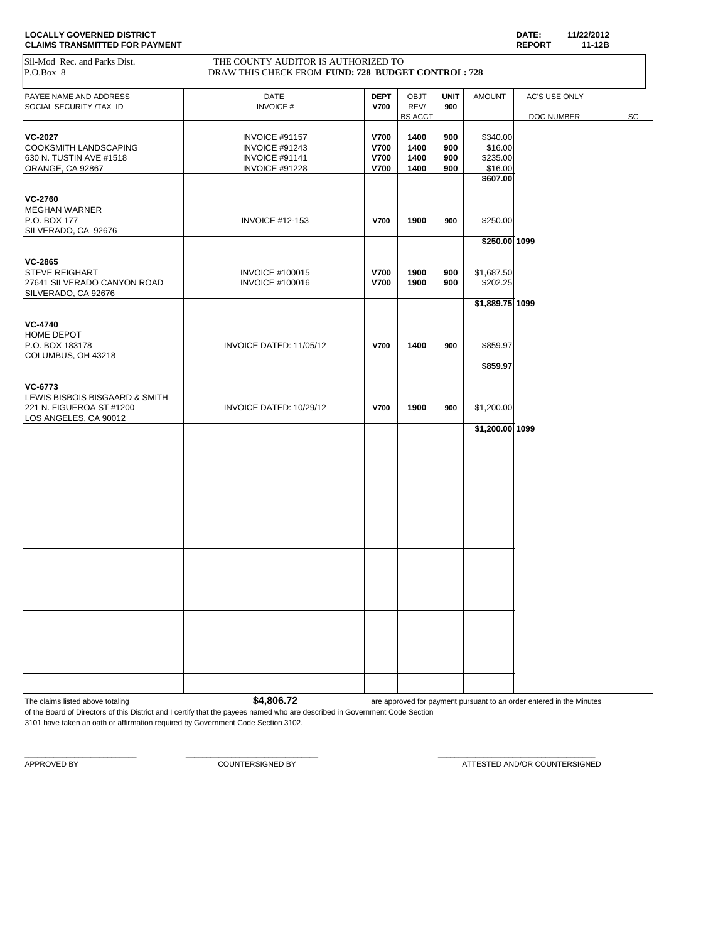| Sil-Mod Rec. and Parks Dist.<br>P.O.Box 8                                                                                   | THE COUNTY AUDITOR IS AUTHORIZED TO<br>DRAW THIS CHECK FROM FUND: 728 BUDGET CONTROL: 728 |                                                   |                                |                          |                                            |                             |    |
|-----------------------------------------------------------------------------------------------------------------------------|-------------------------------------------------------------------------------------------|---------------------------------------------------|--------------------------------|--------------------------|--------------------------------------------|-----------------------------|----|
| PAYEE NAME AND ADDRESS<br>SOCIAL SECURITY /TAX ID                                                                           | DATE<br><b>INVOICE#</b>                                                                   | <b>DEPT</b><br><b>V700</b>                        | OBJT<br>REV/<br><b>BS ACCT</b> | <b>UNIT</b><br>900       | <b>AMOUNT</b>                              | AC'S USE ONLY<br>DOC NUMBER | SC |
| <b>VC-2027</b><br>COOKSMITH LANDSCAPING<br>630 N. TUSTIN AVE #1518<br>ORANGE, CA 92867                                      | INVOICE #91157<br>INVOICE #91243<br>INVOICE #91141<br>INVOICE #91228                      | V700<br><b>V700</b><br><b>V700</b><br><b>V700</b> | 1400<br>1400<br>1400<br>1400   | 900<br>900<br>900<br>900 | \$340.00<br>\$16.00<br>\$235.00<br>\$16.00 |                             |    |
| <b>VC-2760</b><br><b>MEGHAN WARNER</b><br>P.O. BOX 177<br>SILVERADO, CA 92676                                               | <b>INVOICE #12-153</b>                                                                    | <b>V700</b>                                       | 1900                           | 900                      | \$607.00<br>\$250.00                       |                             |    |
| <b>VC-2865</b><br><b>STEVE REIGHART</b><br>27641 SILVERADO CANYON ROAD                                                      | <b>INVOICE #100015</b><br><b>INVOICE #100016</b>                                          | <b>V700</b><br><b>V700</b>                        | 1900<br>1900                   | 900<br>900               | $$250.00$ 1099<br>\$1,687.50<br>\$202.25   |                             |    |
| SILVERADO, CA 92676<br><b>VC-4740</b><br>HOME DEPOT<br>P.O. BOX 183178                                                      | INVOICE DATED: 11/05/12                                                                   | <b>V700</b>                                       | 1400                           | 900                      | $$1,889.75$ 1099<br>\$859.97               |                             |    |
| COLUMBUS, OH 43218<br><b>VC-6773</b><br>LEWIS BISBOIS BISGAARD & SMITH<br>221 N. FIGUEROA ST #1200<br>LOS ANGELES, CA 90012 | INVOICE DATED: 10/29/12                                                                   | <b>V700</b>                                       | 1900                           | 900                      | \$859.97<br>\$1,200.00                     |                             |    |
|                                                                                                                             |                                                                                           |                                                   |                                |                          | $$1,200.00$ 1099                           |                             |    |
|                                                                                                                             |                                                                                           |                                                   |                                |                          |                                            |                             |    |
|                                                                                                                             |                                                                                           |                                                   |                                |                          |                                            |                             |    |
|                                                                                                                             |                                                                                           |                                                   |                                |                          |                                            |                             |    |
|                                                                                                                             |                                                                                           |                                                   |                                |                          |                                            |                             |    |

The claims listed above totaling **\$4,806.72** are approved for payment pursuant to an order entered in the Minutes

of the Board of Directors of this District and I certify that the payees named who are described in Government Code Section 3101 have taken an oath or affirmation required by Government Code Section 3102.

 $\_$  , and the set of the set of the set of the set of the set of the set of the set of the set of the set of the set of the set of the set of the set of the set of the set of the set of the set of the set of the set of th

APPROVED BY COUNTERSIGNED BY COUNTERSIGNED BY ATTESTED AND/OR COUNTERSIGNED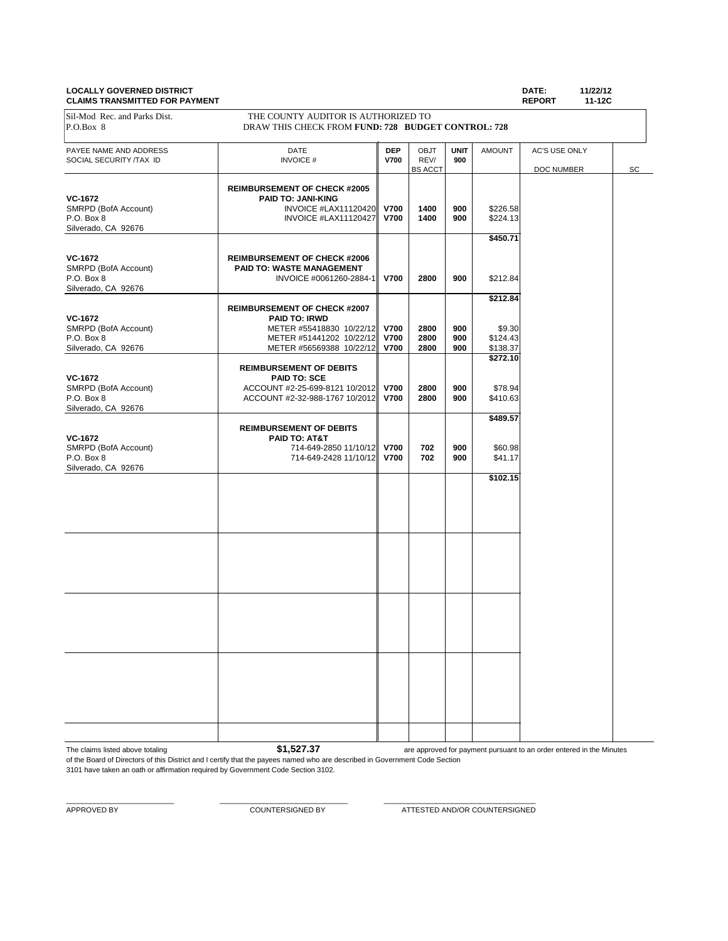### **LOCALLY GOVERNED DISTRICT DATE: 11/22/12 CLAIMS TRANSMITTED FOR PAYMENT**

|                                                   |                                                                                           |                           |                                |                    |                    | .<br>.                      |    |
|---------------------------------------------------|-------------------------------------------------------------------------------------------|---------------------------|--------------------------------|--------------------|--------------------|-----------------------------|----|
| Sil-Mod Rec. and Parks Dist.<br>P.O.Box 8         | THE COUNTY AUDITOR IS AUTHORIZED TO<br>DRAW THIS CHECK FROM FUND: 728 BUDGET CONTROL: 728 |                           |                                |                    |                    |                             |    |
| PAYEE NAME AND ADDRESS<br>SOCIAL SECURITY /TAX ID | DATE<br><b>INVOICE#</b>                                                                   | <b>DEP</b><br><b>V700</b> | OBJT<br>REV/<br><b>BS ACCT</b> | <b>UNIT</b><br>900 | <b>AMOUNT</b>      | AC'S USE ONLY<br>DOC NUMBER | SC |
|                                                   |                                                                                           |                           |                                |                    |                    |                             |    |
|                                                   | <b>REIMBURSEMENT OF CHECK #2005</b>                                                       |                           |                                |                    |                    |                             |    |
| <b>VC-1672</b>                                    | PAID TO: JANI-KING                                                                        |                           |                                |                    |                    |                             |    |
| SMRPD (BofA Account)                              | INVOICE #LAX11120420                                                                      | <b>V700</b>               | 1400                           | 900                | \$226.58           |                             |    |
| P.O. Box 8                                        | <b>INVOICE #LAX11120427</b>                                                               | <b>V700</b>               | 1400                           | 900                | \$224.13           |                             |    |
| Silverado, CA 92676                               |                                                                                           |                           |                                |                    | \$450.71           |                             |    |
|                                                   |                                                                                           |                           |                                |                    |                    |                             |    |
| VC-1672                                           | <b>REIMBURSEMENT OF CHECK #2006</b>                                                       |                           |                                |                    |                    |                             |    |
| SMRPD (BofA Account)                              | <b>PAID TO: WASTE MANAGEMENT</b>                                                          |                           |                                |                    |                    |                             |    |
| P.O. Box 8                                        | INVOICE #0061260-2884-1                                                                   | <b>V700</b>               | 2800                           | 900                | \$212.84           |                             |    |
| Silverado, CA 92676                               |                                                                                           |                           |                                |                    |                    |                             |    |
|                                                   |                                                                                           |                           |                                |                    | \$212.84           |                             |    |
|                                                   | <b>REIMBURSEMENT OF CHECK #2007</b>                                                       |                           |                                |                    |                    |                             |    |
| VC-1672                                           | PAID TO: IRWD                                                                             |                           |                                |                    |                    |                             |    |
| SMRPD (BofA Account)<br>P.O. Box 8                | METER #55418830 10/22/12 V700<br>METER #51441202 10/22/12                                 | <b>V700</b>               | 2800<br>2800                   | 900<br>900         | \$9.30<br>\$124.43 |                             |    |
| Silverado, CA 92676                               | METER #56569388 10/22/12                                                                  | <b>V700</b>               | 2800                           | 900                | \$138.37           |                             |    |
|                                                   |                                                                                           |                           |                                |                    | \$272.10           |                             |    |
| <b>VC-1672</b>                                    | <b>REIMBURSEMENT OF DEBITS</b><br><b>PAID TO: SCE</b>                                     |                           |                                |                    |                    |                             |    |
| SMRPD (BofA Account)                              | ACCOUNT #2-25-699-8121 10/2012                                                            | <b>V700</b>               | 2800                           | 900                | \$78.94            |                             |    |
| P.O. Box 8                                        | ACCOUNT #2-32-988-1767 10/2012                                                            | <b>V700</b>               | 2800                           | 900                | \$410.63           |                             |    |
| Silverado, CA 92676                               |                                                                                           |                           |                                |                    |                    |                             |    |
|                                                   |                                                                                           |                           |                                |                    | \$489.57           |                             |    |
|                                                   | <b>REIMBURSEMENT OF DEBITS</b>                                                            |                           |                                |                    |                    |                             |    |
| <b>VC-1672</b>                                    | PAID TO: AT&T                                                                             |                           |                                |                    |                    |                             |    |
| SMRPD (BofA Account)                              | 714-649-2850 11/10/12 V700                                                                |                           | 702                            | 900                | \$60.98            |                             |    |
| P.O. Box 8                                        | 714-649-2428 11/10/12 V700                                                                |                           | 702                            | 900                | \$41.17            |                             |    |
| Silverado, CA 92676                               |                                                                                           |                           |                                |                    | \$102.15           |                             |    |
|                                                   |                                                                                           |                           |                                |                    |                    |                             |    |
|                                                   |                                                                                           |                           |                                |                    |                    |                             |    |
|                                                   |                                                                                           |                           |                                |                    |                    |                             |    |
|                                                   |                                                                                           |                           |                                |                    |                    |                             |    |
|                                                   |                                                                                           |                           |                                |                    |                    |                             |    |
|                                                   |                                                                                           |                           |                                |                    |                    |                             |    |
|                                                   |                                                                                           |                           |                                |                    |                    |                             |    |
|                                                   |                                                                                           |                           |                                |                    |                    |                             |    |
|                                                   |                                                                                           |                           |                                |                    |                    |                             |    |
|                                                   |                                                                                           |                           |                                |                    |                    |                             |    |
|                                                   |                                                                                           |                           |                                |                    |                    |                             |    |
|                                                   |                                                                                           |                           |                                |                    |                    |                             |    |
|                                                   |                                                                                           |                           |                                |                    |                    |                             |    |
|                                                   |                                                                                           |                           |                                |                    |                    |                             |    |
|                                                   |                                                                                           |                           |                                |                    |                    |                             |    |
|                                                   |                                                                                           |                           |                                |                    |                    |                             |    |
|                                                   |                                                                                           |                           |                                |                    |                    |                             |    |
|                                                   |                                                                                           |                           |                                |                    |                    |                             |    |
|                                                   |                                                                                           |                           |                                |                    |                    |                             |    |
|                                                   |                                                                                           |                           |                                |                    |                    |                             |    |
|                                                   |                                                                                           |                           |                                |                    |                    |                             |    |
|                                                   |                                                                                           |                           |                                |                    |                    |                             |    |
|                                                   |                                                                                           |                           |                                |                    |                    |                             |    |

The claims listed above totaling **\$1,527.37** of the Board of Directors of this District and I certify that the payees named who are described in Government Code Section are approved for payment pursuant to an order entered in the Minutes

3101 have taken an oath or affirmation required by Government Code Section 3102.

 $\_$  , and the set of the set of the set of the set of the set of the set of the set of the set of the set of the set of the set of the set of the set of the set of the set of the set of the set of the set of the set of th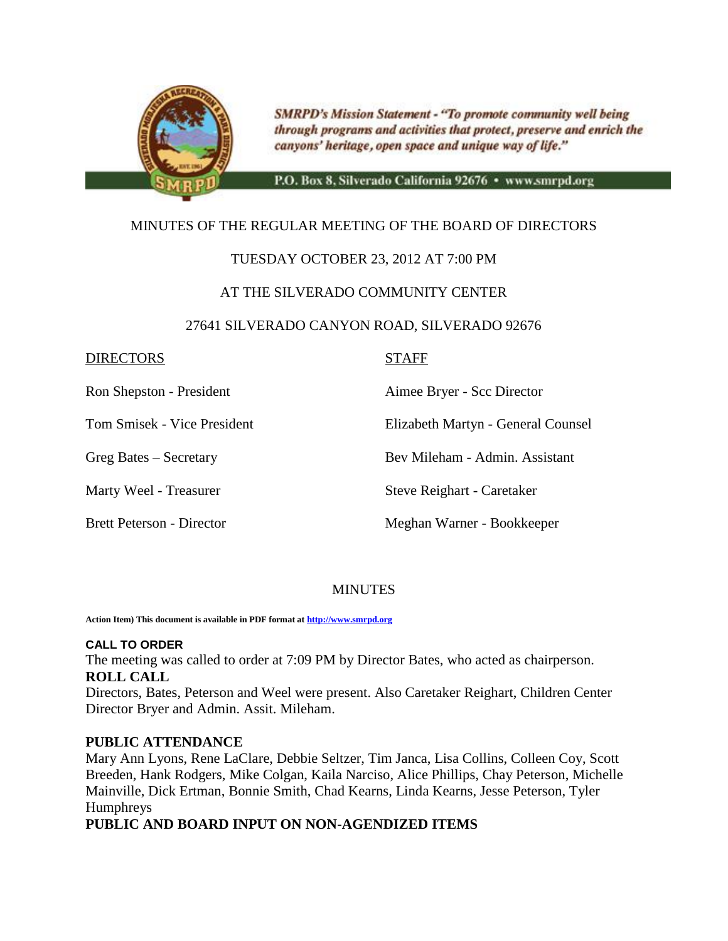

**SMRPD's Mission Statement - "To promote community well being** through programs and activities that protect, preserve and enrich the canyons' heritage, open space and unique way of life."

P.O. Box 8, Silverado California 92676 · www.smrpd.org

## MINUTES OF THE REGULAR MEETING OF THE BOARD OF DIRECTORS

### TUESDAY OCTOBER 23, 2012 AT 7:00 PM

### AT THE SILVERADO COMMUNITY CENTER

### 27641 SILVERADO CANYON ROAD, SILVERADO 92676

### DIRECTORS STAFF

Ron Shepston - President Aimee Bryer - Scc Director

Tom Smisek - Vice President Elizabeth Martyn - General Counsel

Greg Bates – Secretary Bev Mileham - Admin. Assistant

Marty Weel - Treasurer Steve Reighart - Caretaker

Brett Peterson - Director Meghan Warner - Bookkeeper

### **MINUTES**

**Action Item) This document is available in PDF format a[t http://www.smrpd.org](http://www.smrpd.org/)**

### **CALL TO ORDER**

The meeting was called to order at 7:09 PM by Director Bates, who acted as chairperson. **ROLL CALL**

Directors, Bates, Peterson and Weel were present. Also Caretaker Reighart, Children Center Director Bryer and Admin. Assit. Mileham.

### **PUBLIC ATTENDANCE**

Mary Ann Lyons, Rene LaClare, Debbie Seltzer, Tim Janca, Lisa Collins, Colleen Coy, Scott Breeden, Hank Rodgers, Mike Colgan, Kaila Narciso, Alice Phillips, Chay Peterson, Michelle Mainville, Dick Ertman, Bonnie Smith, Chad Kearns, Linda Kearns, Jesse Peterson, Tyler Humphreys

### **PUBLIC AND BOARD INPUT ON NON-AGENDIZED ITEMS**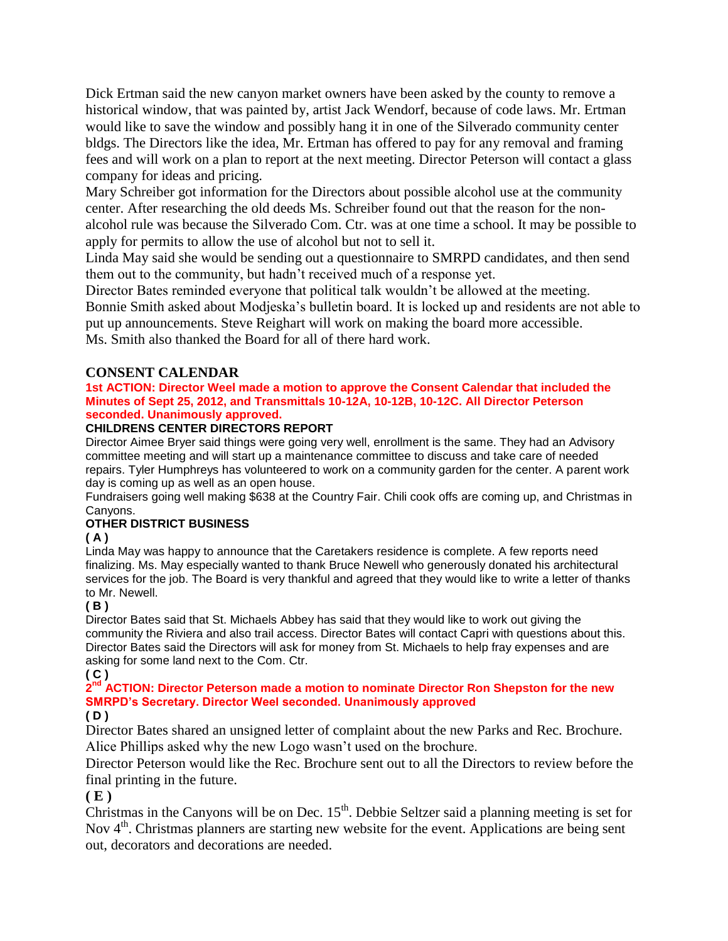Dick Ertman said the new canyon market owners have been asked by the county to remove a historical window, that was painted by, artist Jack Wendorf, because of code laws. Mr. Ertman would like to save the window and possibly hang it in one of the Silverado community center bldgs. The Directors like the idea, Mr. Ertman has offered to pay for any removal and framing fees and will work on a plan to report at the next meeting. Director Peterson will contact a glass company for ideas and pricing.

Mary Schreiber got information for the Directors about possible alcohol use at the community center. After researching the old deeds Ms. Schreiber found out that the reason for the nonalcohol rule was because the Silverado Com. Ctr. was at one time a school. It may be possible to apply for permits to allow the use of alcohol but not to sell it.

Linda May said she would be sending out a questionnaire to SMRPD candidates, and then send them out to the community, but hadn't received much of a response yet.

Director Bates reminded everyone that political talk wouldn't be allowed at the meeting. Bonnie Smith asked about Modjeska's bulletin board. It is locked up and residents are not able to put up announcements. Steve Reighart will work on making the board more accessible. Ms. Smith also thanked the Board for all of there hard work.

### **CONSENT CALENDAR**

### **1st ACTION: Director Weel made a motion to approve the Consent Calendar that included the Minutes of Sept 25, 2012, and Transmittals 10-12A, 10-12B, 10-12C. All Director Peterson seconded. Unanimously approved.**

### **CHILDRENS CENTER DIRECTORS REPORT**

Director Aimee Bryer said things were going very well, enrollment is the same. They had an Advisory committee meeting and will start up a maintenance committee to discuss and take care of needed repairs. Tyler Humphreys has volunteered to work on a community garden for the center. A parent work day is coming up as well as an open house.

Fundraisers going well making \$638 at the Country Fair. Chili cook offs are coming up, and Christmas in Canyons.

### **OTHER DISTRICT BUSINESS**

### **( A )**

Linda May was happy to announce that the Caretakers residence is complete. A few reports need finalizing. Ms. May especially wanted to thank Bruce Newell who generously donated his architectural services for the job. The Board is very thankful and agreed that they would like to write a letter of thanks to Mr. Newell.

### **( B )**

Director Bates said that St. Michaels Abbey has said that they would like to work out giving the community the Riviera and also trail access. Director Bates will contact Capri with questions about this. Director Bates said the Directors will ask for money from St. Michaels to help fray expenses and are asking for some land next to the Com. Ctr.

### **( C )**

### 2<sup>nd</sup> ACTION: Director Peterson made a motion to nominate Director Ron Shepston for the new **SMRPD's Secretary. Director Weel seconded. Unanimously approved**

### **( D )**

Director Bates shared an unsigned letter of complaint about the new Parks and Rec. Brochure. Alice Phillips asked why the new Logo wasn't used on the brochure.

Director Peterson would like the Rec. Brochure sent out to all the Directors to review before the final printing in the future.

### **( E )**

Christmas in the Canyons will be on Dec.  $15<sup>th</sup>$ . Debbie Seltzer said a planning meeting is set for Nov 4<sup>th</sup>. Christmas planners are starting new website for the event. Applications are being sent out, decorators and decorations are needed.